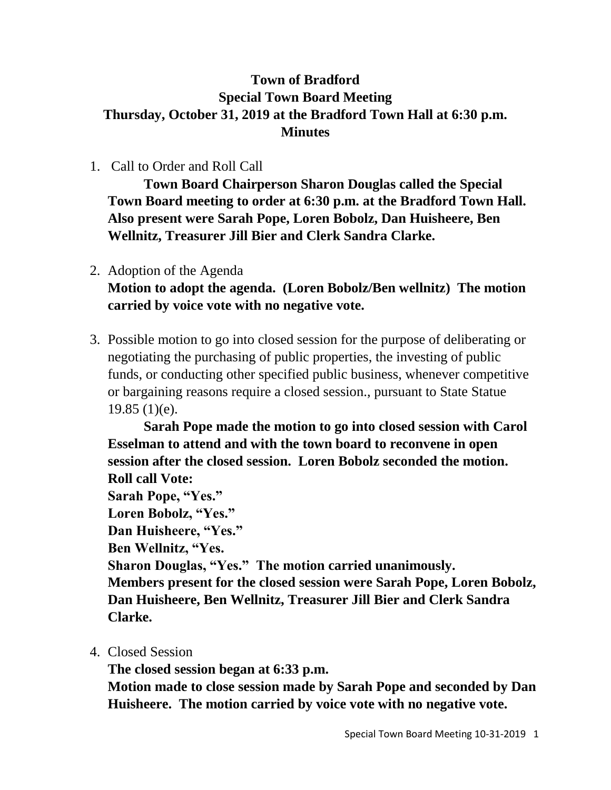## **Town of Bradford Special Town Board Meeting Thursday, October 31, 2019 at the Bradford Town Hall at 6:30 p.m. Minutes**

1. Call to Order and Roll Call

**Town Board Chairperson Sharon Douglas called the Special Town Board meeting to order at 6:30 p.m. at the Bradford Town Hall. Also present were Sarah Pope, Loren Bobolz, Dan Huisheere, Ben Wellnitz, Treasurer Jill Bier and Clerk Sandra Clarke.**

- 2. Adoption of the Agenda **Motion to adopt the agenda. (Loren Bobolz/Ben wellnitz) The motion carried by voice vote with no negative vote.**
- 3. Possible motion to go into closed session for the purpose of deliberating or negotiating the purchasing of public properties, the investing of public funds, or conducting other specified public business, whenever competitive or bargaining reasons require a closed session., pursuant to State Statue 19.85 (1)(e).

**Sarah Pope made the motion to go into closed session with Carol Esselman to attend and with the town board to reconvene in open session after the closed session. Loren Bobolz seconded the motion. Roll call Vote: Sarah Pope, "Yes." Loren Bobolz, "Yes." Dan Huisheere, "Yes." Ben Wellnitz, "Yes. Sharon Douglas, "Yes." The motion carried unanimously. Members present for the closed session were Sarah Pope, Loren Bobolz, Dan Huisheere, Ben Wellnitz, Treasurer Jill Bier and Clerk Sandra Clarke.**

4. Closed Session

**The closed session began at 6:33 p.m.**

**Motion made to close session made by Sarah Pope and seconded by Dan Huisheere. The motion carried by voice vote with no negative vote.**